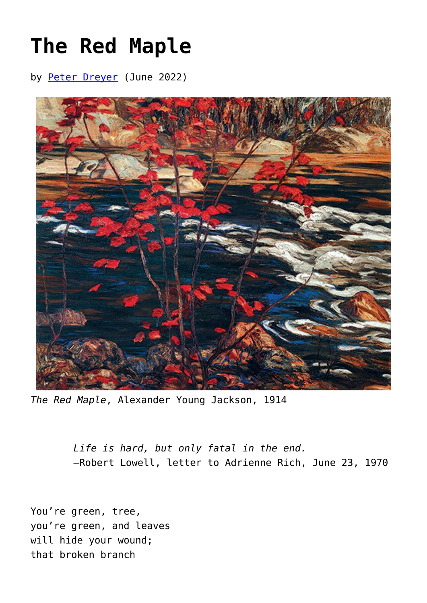## **[The Red Maple](https://www.newenglishreview.org/articles/the-red-maple/)**

by [Peter Dreyer](https://www.newenglishreview.org/authors/peter-dreyer/) (June 2022)



*The Red Maple*, Alexander Young Jackson, 1914

*Life is hard, but only fatal in the end.* —Robert Lowell, letter to Adrienne Rich, June 23, 1970

You're green, tree, you're green, and leaves will hide your wound; that broken branch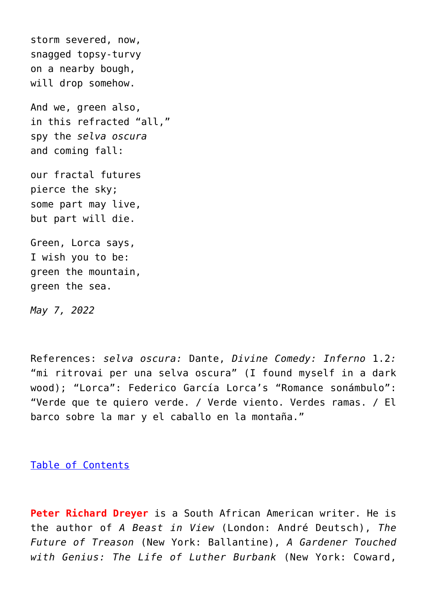storm severed, now, snagged topsy-turvy on a nearby bough, will drop somehow. And we, green also, in this refracted "all," spy the *selva oscura* and coming fall: our fractal futures pierce the sky; some part may live,

Green, Lorca says, I wish you to be: green the mountain, green the sea.

but part will die.

*May 7, 2022*

References: *selva oscura:* Dante, *Divine Comedy: Inferno* 1.2*:* "mi ritrovai per una selva oscura" (I found myself in a dark wood); "Lorca": Federico García Lorca's "Romance sonámbulo": "Verde que te quiero verde. / Verde viento. Verdes ramas. / El barco sobre la mar y el caballo en la montaña."

[Table of Contents](https://www.newenglishreview.org/)

**Peter Richard Dreyer** is a South African American writer. He is the author of *A Beast in View* (London: André Deutsch), *The Future of Treason* (New York: Ballantine), *A Gardener Touched with Genius: The Life of Luther Burbank* (New York: Coward,